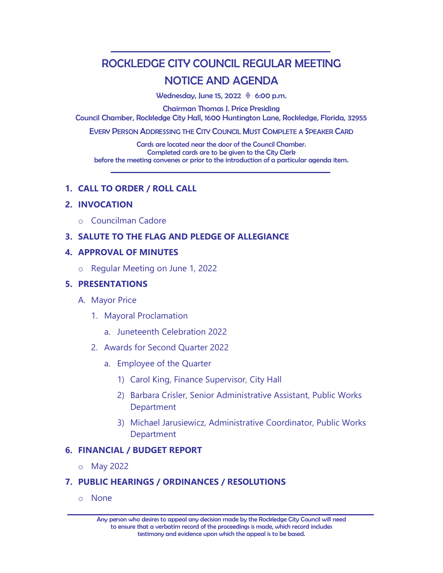# ROCKLEDGE CITY COUNCIL REGULAR MEETING NOTICE AND AGENDA

Wednesday, June 15, 2022  $\Diamond$  6:00 p.m.

Chairman Thomas J. Price Presiding Council Chamber, Rockledge City Hall, 1600 Huntington Lane, Rockledge, Florida, 32955

EVERY PERSON ADDRESSING THE CITY COUNCIL MUST COMPLETE A SPEAKER CARD

Cards are located near the door of the Council Chamber. Completed cards are to be given to the City Clerk before the meeting convenes or prior to the introduction of a particular agenda item.

## **1. CALL TO ORDER / ROLL CALL**

## **2. INVOCATION**

o Councilman Cadore

## **3. SALUTE TO THE FLAG AND PLEDGE OF ALLEGIANCE**

#### **4. APPROVAL OF MINUTES**

o Regular Meeting on June 1, 2022

#### **5. PRESENTATIONS**

- A. Mayor Price
	- 1. Mayoral Proclamation
		- a. Juneteenth Celebration 2022
	- 2. Awards for Second Quarter 2022
		- a. Employee of the Quarter
			- 1) Carol King, Finance Supervisor, City Hall
			- 2) Barbara Crisler, Senior Administrative Assistant, Public Works Department
			- 3) Michael Jarusiewicz, Administrative Coordinator, Public Works Department

#### **6. FINANCIAL / BUDGET REPORT**

o May 2022

#### **7. PUBLIC HEARINGS / ORDINANCES / RESOLUTIONS**

o None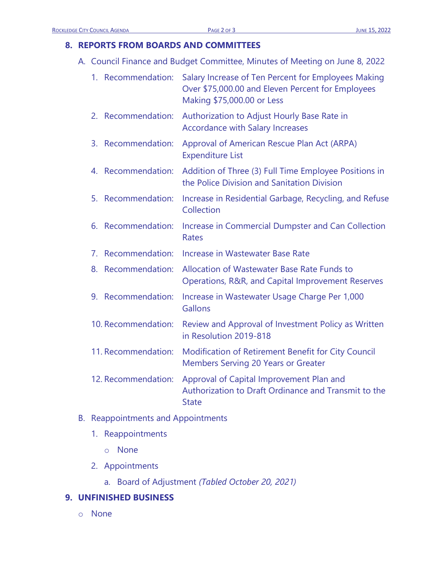## **8. REPORTS FROM BOARDS AND COMMITTEES**

A. Council Finance and Budget Committee, Minutes of Meeting on June 8, 2022

|    | 1. Recommendation:  | Salary Increase of Ten Percent for Employees Making<br>Over \$75,000.00 and Eleven Percent for Employees<br>Making \$75,000.00 or Less |
|----|---------------------|----------------------------------------------------------------------------------------------------------------------------------------|
|    | 2. Recommendation:  | Authorization to Adjust Hourly Base Rate in<br><b>Accordance with Salary Increases</b>                                                 |
| 3. | Recommendation:     | Approval of American Rescue Plan Act (ARPA)<br><b>Expenditure List</b>                                                                 |
|    | 4. Recommendation:  | Addition of Three (3) Full Time Employee Positions in<br>the Police Division and Sanitation Division                                   |
| 5. | Recommendation:     | Increase in Residential Garbage, Recycling, and Refuse<br>Collection                                                                   |
| 6. | Recommendation:     | Increase in Commercial Dumpster and Can Collection<br><b>Rates</b>                                                                     |
| 7. | Recommendation:     | Increase in Wastewater Base Rate                                                                                                       |
|    | 8. Recommendation:  | Allocation of Wastewater Base Rate Funds to<br>Operations, R&R, and Capital Improvement Reserves                                       |
| 9. | Recommendation:     | Increase in Wastewater Usage Charge Per 1,000<br>Gallons                                                                               |
|    | 10. Recommendation: | Review and Approval of Investment Policy as Written<br>in Resolution 2019-818                                                          |
|    | 11. Recommendation: | Modification of Retirement Benefit for City Council<br><b>Members Serving 20 Years or Greater</b>                                      |
|    | 12. Recommendation: | Approval of Capital Improvement Plan and<br>Authorization to Draft Ordinance and Transmit to the<br><b>State</b>                       |

# B. Reappointments and Appointments

- 1. Reappointments
	- o None
- 2. Appointments
	- a. Board of Adjustment *(Tabled October 20, 2021)*

# **9. UNFINISHED BUSINESS**

o None